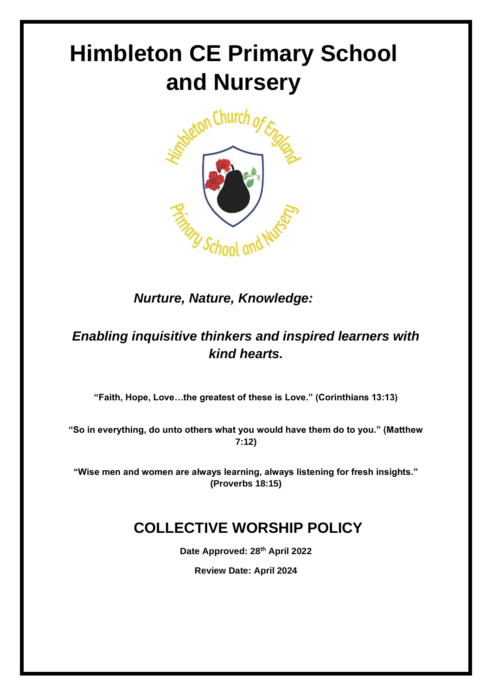# **Himbleton CE Primary School and Nursery**



*Nurture, Nature, Knowledge:*

# *Enabling inquisitive thinkers and inspired learners with kind hearts.*

**"Faith, Hope, Love…the greatest of these is Love." (Corinthians 13:13)**

**"So in everything, do unto others what you would have them do to you." (Matthew 7:12)**

**"Wise men and women are always learning, always listening for fresh insights." (Proverbs 18:15)**

# **COLLECTIVE WORSHIP POLICY**

**Date Approved: 28th April 2022**

**Review Date: April 2024**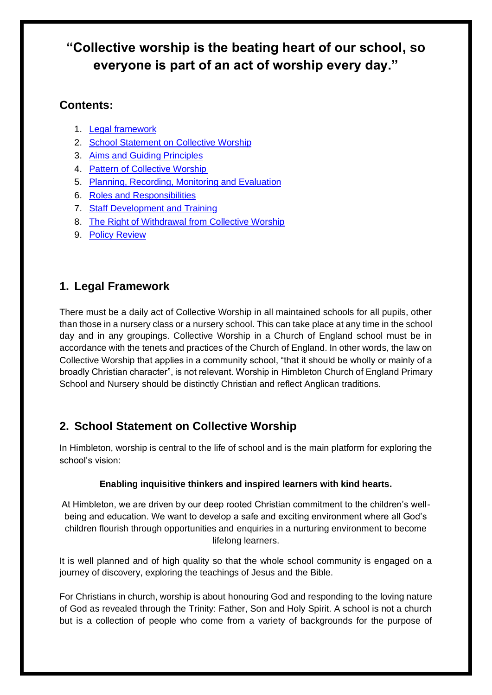## **"Collective worship is the beating heart of our school, so everyone is part of an act of worship every day."**

## **Contents:**

- 1. Legal [framework](#page-1-0)
- 2. School Statement on Collective Worship
- 3. Aims and Guiding Principles
- 4. Pattern of Collective Worship
- 5. Planning, Recording, Monitoring and Evaluation
- 6. Roles and Responsibilities
- 7. Staff Development and Training
- 8. The Right of Withdrawal from Collective Worship
- 9. Policy Review

## <span id="page-1-0"></span>**1. Legal Framework**

There must be a daily act of Collective Worship in all maintained schools for all pupils, other than those in a nursery class or a nursery school. This can take place at any time in the school day and in any groupings. Collective Worship in a Church of England school must be in accordance with the tenets and practices of the Church of England. In other words, the law on Collective Worship that applies in a community school, "that it should be wholly or mainly of a broadly Christian character", is not relevant. Worship in Himbleton Church of England Primary School and Nursery should be distinctly Christian and reflect Anglican traditions.

## **2. School Statement on Collective Worship**

In Himbleton, worship is central to the life of school and is the main platform for exploring the school's vision:

### **Enabling inquisitive thinkers and inspired learners with kind hearts.**

At Himbleton, we are driven by our deep rooted Christian commitment to the children's wellbeing and education. We want to develop a safe and exciting environment where all God's children flourish through opportunities and enquiries in a nurturing environment to become lifelong learners.

It is well planned and of high quality so that the whole school community is engaged on a journey of discovery, exploring the teachings of Jesus and the Bible.

For Christians in church, worship is about honouring God and responding to the loving nature of God as revealed through the Trinity: Father, Son and Holy Spirit. A school is not a church but is a collection of people who come from a variety of backgrounds for the purpose of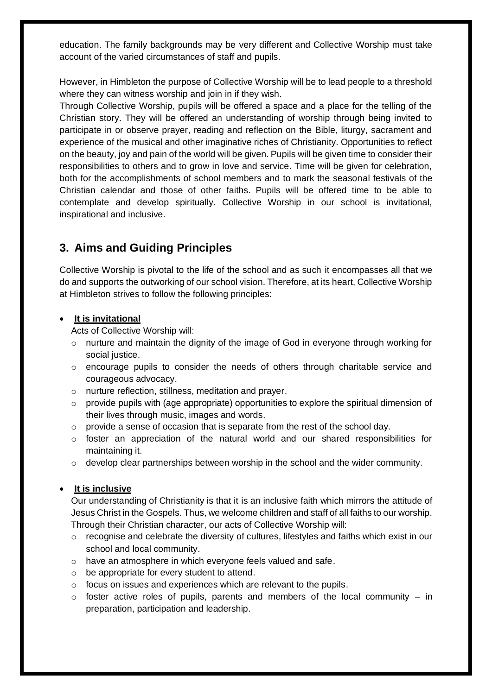education. The family backgrounds may be very different and Collective Worship must take account of the varied circumstances of staff and pupils.

However, in Himbleton the purpose of Collective Worship will be to lead people to a threshold where they can witness worship and join in if they wish.

Through Collective Worship, pupils will be offered a space and a place for the telling of the Christian story. They will be offered an understanding of worship through being invited to participate in or observe prayer, reading and reflection on the Bible, liturgy, sacrament and experience of the musical and other imaginative riches of Christianity. Opportunities to reflect on the beauty, joy and pain of the world will be given. Pupils will be given time to consider their responsibilities to others and to grow in love and service. Time will be given for celebration, both for the accomplishments of school members and to mark the seasonal festivals of the Christian calendar and those of other faiths. Pupils will be offered time to be able to contemplate and develop spiritually. Collective Worship in our school is invitational, inspirational and inclusive.

## **3. Aims and Guiding Principles**

Collective Worship is pivotal to the life of the school and as such it encompasses all that we do and supports the outworking of our school vision. Therefore, at its heart, Collective Worship at Himbleton strives to follow the following principles:

#### • **It is invitational**

Acts of Collective Worship will:

- $\circ$  nurture and maintain the dignity of the image of God in everyone through working for social justice.
- o encourage pupils to consider the needs of others through charitable service and courageous advocacy.
- o nurture reflection, stillness, meditation and prayer.
- $\circ$  provide pupils with (age appropriate) opportunities to explore the spiritual dimension of their lives through music, images and words.
- o provide a sense of occasion that is separate from the rest of the school day.
- $\circ$  foster an appreciation of the natural world and our shared responsibilities for maintaining it.
- o develop clear partnerships between worship in the school and the wider community.

#### • **It is inclusive**

Our understanding of Christianity is that it is an inclusive faith which mirrors the attitude of Jesus Christ in the Gospels. Thus, we welcome children and staff of all faiths to our worship. Through their Christian character, our acts of Collective Worship will:

- o recognise and celebrate the diversity of cultures, lifestyles and faiths which exist in our school and local community.
- o have an atmosphere in which everyone feels valued and safe.
- o be appropriate for every student to attend.
- o focus on issues and experiences which are relevant to the pupils.
- $\circ$  foster active roles of pupils, parents and members of the local community in preparation, participation and leadership.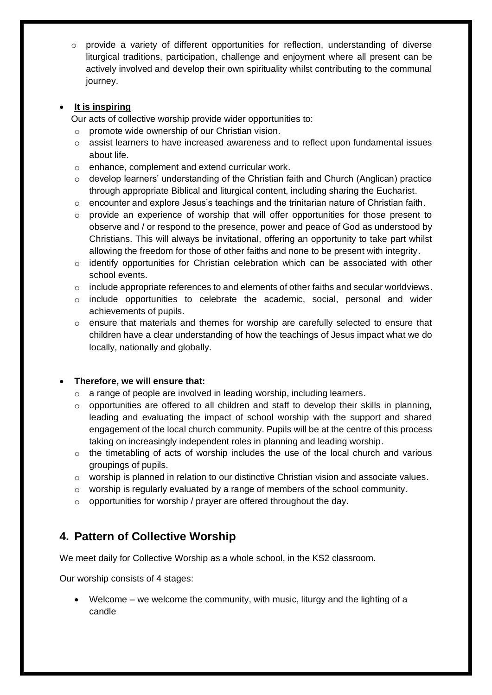$\circ$  provide a variety of different opportunities for reflection, understanding of diverse liturgical traditions, participation, challenge and enjoyment where all present can be actively involved and develop their own spirituality whilst contributing to the communal journey.

#### • **It is inspiring**

Our acts of collective worship provide wider opportunities to:

- o promote wide ownership of our Christian vision.
- $\circ$  assist learners to have increased awareness and to reflect upon fundamental issues about life.
- o enhance, complement and extend curricular work.
- o develop learners' understanding of the Christian faith and Church (Anglican) practice through appropriate Biblical and liturgical content, including sharing the Eucharist.
- o encounter and explore Jesus's teachings and the trinitarian nature of Christian faith.
- $\circ$  provide an experience of worship that will offer opportunities for those present to observe and / or respond to the presence, power and peace of God as understood by Christians. This will always be invitational, offering an opportunity to take part whilst allowing the freedom for those of other faiths and none to be present with integrity.
- o identify opportunities for Christian celebration which can be associated with other school events.
- $\circ$  include appropriate references to and elements of other faiths and secular worldviews.
- $\circ$  include opportunities to celebrate the academic, social, personal and wider achievements of pupils.
- o ensure that materials and themes for worship are carefully selected to ensure that children have a clear understanding of how the teachings of Jesus impact what we do locally, nationally and globally.

#### • **Therefore, we will ensure that:**

- o a range of people are involved in leading worship, including learners.
- $\circ$  opportunities are offered to all children and staff to develop their skills in planning, leading and evaluating the impact of school worship with the support and shared engagement of the local church community. Pupils will be at the centre of this process taking on increasingly independent roles in planning and leading worship.
- $\circ$  the timetabling of acts of worship includes the use of the local church and various groupings of pupils.
- $\circ$  worship is planned in relation to our distinctive Christian vision and associate values.
- o worship is regularly evaluated by a range of members of the school community.
- o opportunities for worship / prayer are offered throughout the day.

## **4. Pattern of Collective Worship**

We meet daily for Collective Worship as a whole school, in the KS2 classroom.

Our worship consists of 4 stages:

• Welcome – we welcome the community, with music, liturgy and the lighting of a candle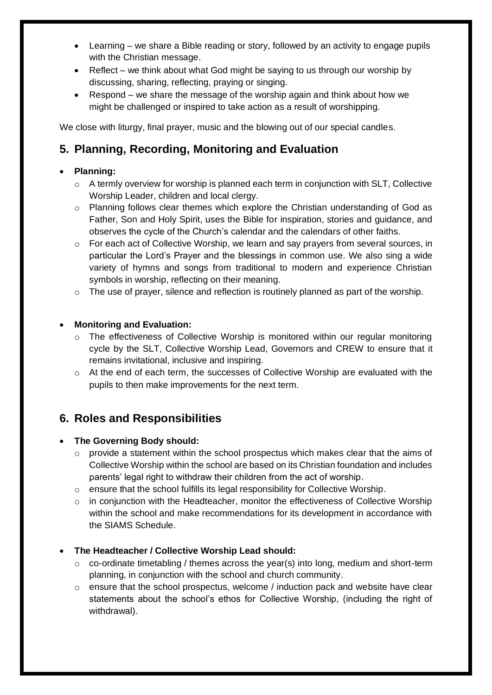- Learning we share a Bible reading or story, followed by an activity to engage pupils with the Christian message.
- Reflect we think about what God might be saying to us through our worship by discussing, sharing, reflecting, praying or singing.
- Respond we share the message of the worship again and think about how we might be challenged or inspired to take action as a result of worshipping.

We close with liturgy, final prayer, music and the blowing out of our special candles.

## **5. Planning, Recording, Monitoring and Evaluation**

#### • **Planning:**

- $\circ$  A termly overview for worship is planned each term in conjunction with SLT, Collective Worship Leader, children and local clergy.
- o Planning follows clear themes which explore the Christian understanding of God as Father, Son and Holy Spirit, uses the Bible for inspiration, stories and guidance, and observes the cycle of the Church's calendar and the calendars of other faiths.
- $\circ$  For each act of Collective Worship, we learn and say prayers from several sources, in particular the Lord's Prayer and the blessings in common use. We also sing a wide variety of hymns and songs from traditional to modern and experience Christian symbols in worship, reflecting on their meaning.
- $\circ$  The use of prayer, silence and reflection is routinely planned as part of the worship.

#### • **Monitoring and Evaluation:**

- o The effectiveness of Collective Worship is monitored within our regular monitoring cycle by the SLT, Collective Worship Lead, Governors and CREW to ensure that it remains invitational, inclusive and inspiring.
- $\circ$  At the end of each term, the successes of Collective Worship are evaluated with the pupils to then make improvements for the next term.

## **6. Roles and Responsibilities**

#### • **The Governing Body should:**

- o provide a statement within the school prospectus which makes clear that the aims of Collective Worship within the school are based on its Christian foundation and includes parents' legal right to withdraw their children from the act of worship.
- o ensure that the school fulfills its legal responsibility for Collective Worship.
- $\circ$  in conjunction with the Headteacher, monitor the effectiveness of Collective Worship within the school and make recommendations for its development in accordance with the SIAMS Schedule.

#### • **The Headteacher / Collective Worship Lead should:**

- $\circ$  co-ordinate timetabling / themes across the year(s) into long, medium and short-term planning, in conjunction with the school and church community.
- $\circ$  ensure that the school prospectus, welcome / induction pack and website have clear statements about the school's ethos for Collective Worship, (including the right of withdrawal).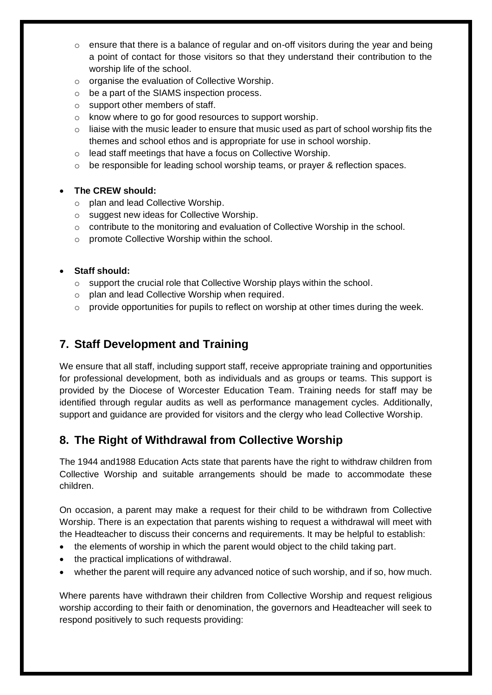- $\circ$  ensure that there is a balance of regular and on-off visitors during the year and being a point of contact for those visitors so that they understand their contribution to the worship life of the school.
- o organise the evaluation of Collective Worship.
- o be a part of the SIAMS inspection process.
- o support other members of staff.
- o know where to go for good resources to support worship.
- $\circ$  liaise with the music leader to ensure that music used as part of school worship fits the themes and school ethos and is appropriate for use in school worship.
- o lead staff meetings that have a focus on Collective Worship.
- $\circ$  be responsible for leading school worship teams, or prayer & reflection spaces.

#### • **The CREW should:**

- o plan and lead Collective Worship.
- o suggest new ideas for Collective Worship.
- $\circ$  contribute to the monitoring and evaluation of Collective Worship in the school.
- o promote Collective Worship within the school.

#### • **Staff should:**

- o support the crucial role that Collective Worship plays within the school.
- o plan and lead Collective Worship when required.
- $\circ$  provide opportunities for pupils to reflect on worship at other times during the week.

## **7. Staff Development and Training**

We ensure that all staff, including support staff, receive appropriate training and opportunities for professional development, both as individuals and as groups or teams. This support is provided by the Diocese of Worcester Education Team. Training needs for staff may be identified through regular audits as well as performance management cycles. Additionally, support and guidance are provided for visitors and the clergy who lead Collective Worship.

## **8. The Right of Withdrawal from Collective Worship**

The 1944 and1988 Education Acts state that parents have the right to withdraw children from Collective Worship and suitable arrangements should be made to accommodate these children.

On occasion, a parent may make a request for their child to be withdrawn from Collective Worship. There is an expectation that parents wishing to request a withdrawal will meet with the Headteacher to discuss their concerns and requirements. It may be helpful to establish:

- the elements of worship in which the parent would object to the child taking part.
- the practical implications of withdrawal.
- whether the parent will require any advanced notice of such worship, and if so, how much.

Where parents have withdrawn their children from Collective Worship and request religious worship according to their faith or denomination, the governors and Headteacher will seek to respond positively to such requests providing: